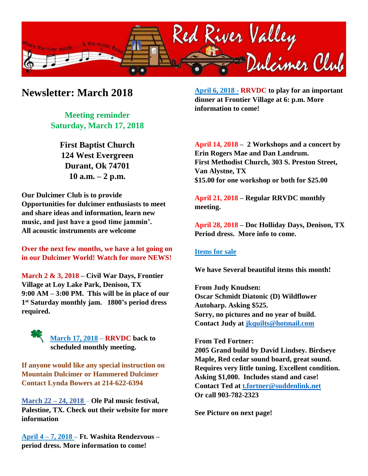

## **Newsletter: March 2018**

**Meeting reminder Saturday, March 17, 2018**

> **First Baptist Church 124 West Evergreen Durant, Ok 74701 10 a.m. – 2 p.m.**

**Our Dulcimer Club is to provide Opportunities for dulcimer enthusiasts to meet and share ideas and information, learn new music, and just have a good time jammin'. All acoustic instruments are welcome**

**Over the next few months, we have a lot going on in our Dulcimer World! Watch for more NEWS!**

**March 2 & 3, 2018 – Civil War Days, Frontier Village at Loy Lake Park, Denison, TX 9:00 AM – 3:00 PM. This will be in place of our 1 st Saturday monthly jam. 1800's period dress required.**

> **March 17, 2018 – RRVDC back to scheduled monthly meeting.**

**If anyone would like any special instruction on Mountain Dulcimer or Hammered Dulcimer Contact Lynda Bowers at 214-622-6394**

**March 22 – 24, 2018 – Ole Pal music festival, Palestine, TX. Check out their website for more information**

**April 4 – 7, 2018 – Ft. Washita Rendezvous – period dress. More information to come!**

**April 6, 2018 - RRVDC to play for an important dinner at Frontier Village at 6: p.m. More information to come!**

**April 14, 2018 – 2 Workshops and a concert by Erin Rogers Mae and Dan Landrum. First Methodist Church, 303 S. Preston Street, Van Alystne, TX \$15.00 for one workshop or both for \$25.00**

**April 21, 2018 – Regular RRVDC monthly meeting.**

**April 28, 2018 – Doc Holliday Days, Denison, TX Period dress. More info to come.**

## **Items for sale**

**We have Several beautiful items this month!**

**From Judy Knudsen: Oscar Schmidt Diatonic (D) Wildflower Autoharp. Asking \$525. Sorry, no pictures and no year of build. Contact Judy at [jkquilts@hotmail.com](mailto:jkquilts@hotmail.com)**

## **From Ted Fortner:**

**2005 Grand build by David Lindsey. Birdseye Maple, Red cedar sound board, great sound. Requires very little tuning. Excellent condition. Asking \$1,000. Includes stand and case! Contact Ted at [t.fortner@suddenlink.net](mailto:t.fortner@suddenlink.net) Or call 903-782-2323**

**See Picture on next page!**